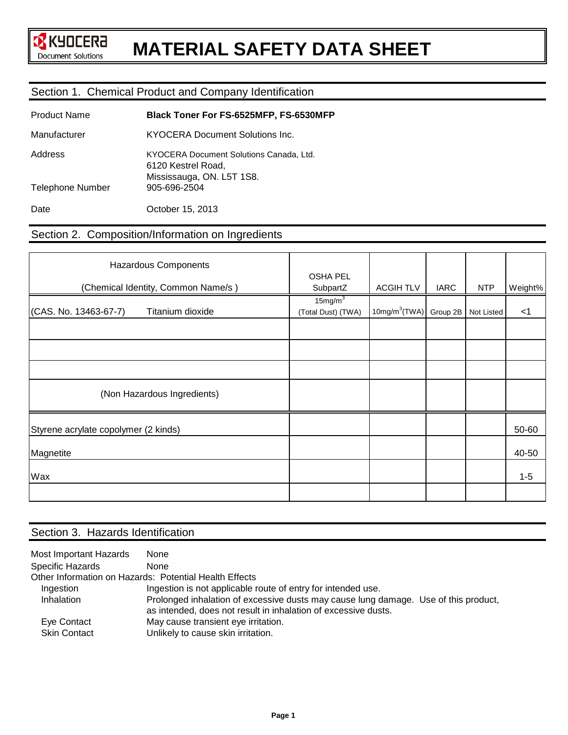# **MATERIAL SAFETY DATA SHEET**

## Section 1. Chemical Product and Company Identification

| <b>Product Name</b>     | Black Toner For FS-6525MFP, FS-6530MFP                                                     |
|-------------------------|--------------------------------------------------------------------------------------------|
| Manufacturer            | KYOCERA Document Solutions Inc.                                                            |
| Address                 | KYOCERA Document Solutions Canada, Ltd.<br>6120 Kestrel Road.<br>Mississauga, ON. L5T 1S8. |
| <b>Telephone Number</b> | 905-696-2504                                                                               |
| Date                    | October 15, 2013                                                                           |

## Section 2. Composition/Information on Ingredients

| Hazardous Components                      |                                           |                           |             |            |         |
|-------------------------------------------|-------------------------------------------|---------------------------|-------------|------------|---------|
| (Chemical Identity, Common Name/s)        | <b>OSHA PEL</b><br>SubpartZ               | <b>ACGIHTLV</b>           | <b>IARC</b> | <b>NTP</b> | Weight% |
| (CAS. No. 13463-67-7)<br>Titanium dioxide | 15mg/m <sup>3</sup><br>(Total Dust) (TWA) | 10mg/m <sup>3</sup> (TWA) | Group 2B    | Not Listed | $<$ 1   |
|                                           |                                           |                           |             |            |         |
|                                           |                                           |                           |             |            |         |
|                                           |                                           |                           |             |            |         |
| (Non Hazardous Ingredients)               |                                           |                           |             |            |         |
| Styrene acrylate copolymer (2 kinds)      |                                           |                           |             |            | 50-60   |
| Magnetite                                 |                                           |                           |             |            | 40-50   |
| Wax                                       |                                           |                           |             |            | $1 - 5$ |
|                                           |                                           |                           |             |            |         |

## Section 3. Hazards Identification

| Most Important Hazards                                 | <b>None</b>                                                                                                                                           |  |  |
|--------------------------------------------------------|-------------------------------------------------------------------------------------------------------------------------------------------------------|--|--|
| Specific Hazards                                       | <b>None</b>                                                                                                                                           |  |  |
| Other Information on Hazards: Potential Health Effects |                                                                                                                                                       |  |  |
| Ingestion                                              | Ingestion is not applicable route of entry for intended use.                                                                                          |  |  |
| Inhalation                                             | Prolonged inhalation of excessive dusts may cause lung damage. Use of this product,<br>as intended, does not result in inhalation of excessive dusts. |  |  |
| Eye Contact                                            | May cause transient eye irritation.                                                                                                                   |  |  |
| <b>Skin Contact</b>                                    | Unlikely to cause skin irritation.                                                                                                                    |  |  |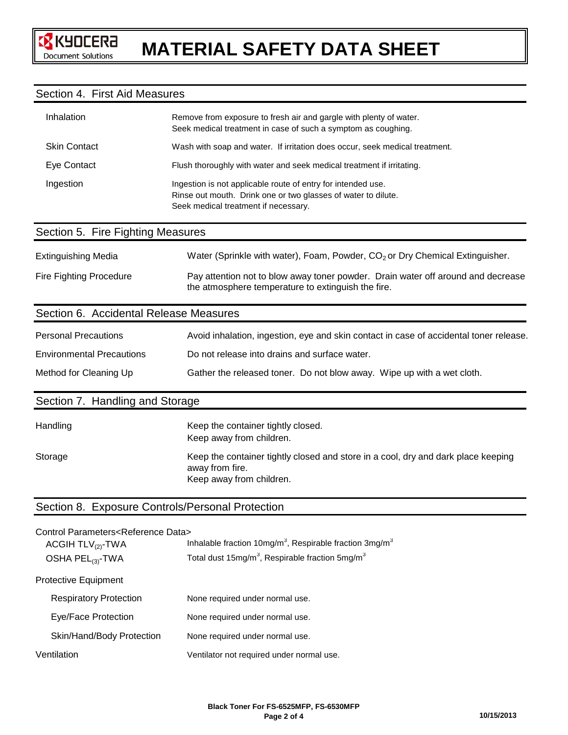## Section 4. First Aid Measures

| Inhalation          | Remove from exposure to fresh air and gargle with plenty of water.<br>Seek medical treatment in case of such a symptom as coughing.                                   |
|---------------------|-----------------------------------------------------------------------------------------------------------------------------------------------------------------------|
| <b>Skin Contact</b> | Wash with soap and water. If irritation does occur, seek medical treatment.                                                                                           |
| Eye Contact         | Flush thoroughly with water and seek medical treatment if irritating.                                                                                                 |
| Ingestion           | Ingestion is not applicable route of entry for intended use.<br>Rinse out mouth. Drink one or two glasses of water to dilute.<br>Seek medical treatment if necessary. |

## Section 5. Fire Fighting Measures

| <b>Extinguishing Media</b> | Water (Sprinkle with water), Foam, Powder, CO <sub>2</sub> or Dry Chemical Extinguisher.                                               |  |
|----------------------------|----------------------------------------------------------------------------------------------------------------------------------------|--|
| Fire Fighting Procedure    | Pay attention not to blow away toner powder. Drain water off around and decrease<br>the atmosphere temperature to extinguish the fire. |  |

## Section 6. Accidental Release Measures

| <b>Personal Precautions</b>      | Avoid inhalation, ingestion, eye and skin contact in case of accidental toner release. |
|----------------------------------|----------------------------------------------------------------------------------------|
| <b>Environmental Precautions</b> | Do not release into drains and surface water.                                          |
| Method for Cleaning Up           | Gather the released toner. Do not blow away. Wipe up with a wet cloth.                 |

## Section 7. Handling and Storage

| Handling | Keep the container tightly closed.<br>Keep away from children.                                                                   |
|----------|----------------------------------------------------------------------------------------------------------------------------------|
| Storage  | Keep the container tightly closed and store in a cool, dry and dark place keeping<br>away from fire.<br>Keep away from children. |

## Section 8. Exposure Controls/Personal Protection

| Control Parameters <reference data=""></reference> |                                                                                    |
|----------------------------------------------------|------------------------------------------------------------------------------------|
| ACGIH $TLV_{(2)}$ -TWA                             | Inhalable fraction 10mg/m <sup>3</sup> , Respirable fraction $3$ mg/m <sup>3</sup> |
| OSHA PEL <sub>(3)</sub> -TWA                       | Total dust 15mg/m <sup>3</sup> , Respirable fraction 5mg/m <sup>3</sup>            |
|                                                    |                                                                                    |
| <b>Protective Equipment</b>                        |                                                                                    |
| <b>Respiratory Protection</b>                      | None required under normal use.                                                    |
| Eye/Face Protection                                | None required under normal use.                                                    |
| Skin/Hand/Body Protection                          | None required under normal use.                                                    |
| Ventilation                                        | Ventilator not required under normal use.                                          |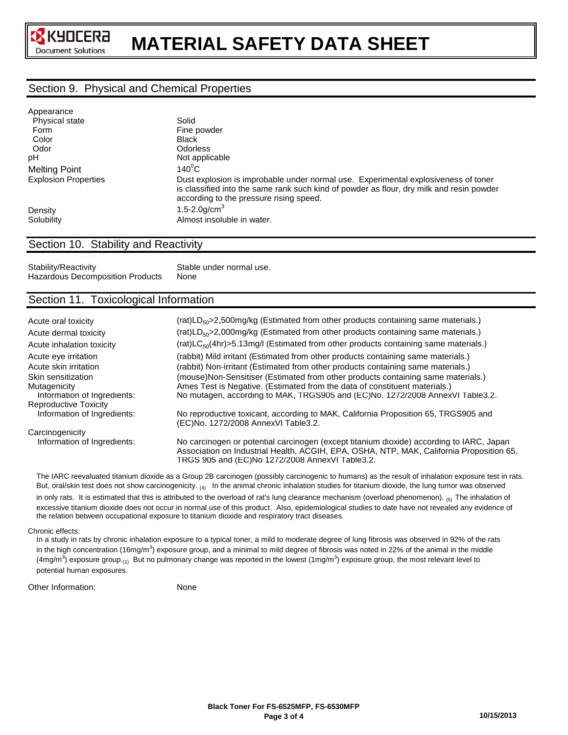# **MATERIAL SAFETY DATA SHEET**

## Section 9. Physical and Chemical Properties

| Appearance                  |                                                                                                                                                                                                                           |
|-----------------------------|---------------------------------------------------------------------------------------------------------------------------------------------------------------------------------------------------------------------------|
| Physical state              | Solid                                                                                                                                                                                                                     |
| Form                        | Fine powder                                                                                                                                                                                                               |
| Color                       | <b>Black</b>                                                                                                                                                                                                              |
| Odor                        | <b>Odorless</b>                                                                                                                                                                                                           |
| рH                          | Not applicable                                                                                                                                                                                                            |
| <b>Melting Point</b>        | $140^0$ C                                                                                                                                                                                                                 |
| <b>Explosion Properties</b> | Dust explosion is improbable under normal use. Experimental explosiveness of toner<br>is classified into the same rank such kind of powder as flour, dry milk and resin powder<br>according to the pressure rising speed. |
| Density                     | 1.5-2.0g/cm <sup>3</sup>                                                                                                                                                                                                  |
| Solubility                  | Almost insoluble in water.                                                                                                                                                                                                |
|                             |                                                                                                                                                                                                                           |

## Section 10. Stability and Reactivity

Stability/Reactivity Stable under normal use.<br>Hazardous Decomposition Products None Hazardous Decomposition Products

## Section 11. Toxicological Information

| Acute oral toxicity                                               | (rat)LD <sub>50</sub> >2,500mg/kg (Estimated from other products containing same materials.)                                                                                                                                                    |
|-------------------------------------------------------------------|-------------------------------------------------------------------------------------------------------------------------------------------------------------------------------------------------------------------------------------------------|
| Acute dermal toxicity                                             | (rat)LD <sub>50</sub> >2,000mg/kg (Estimated from other products containing same materials.)                                                                                                                                                    |
| Acute inhalation toxicity                                         | (rat)LC <sub>50</sub> (4hr)>5.13mg/l (Estimated from other products containing same materials.)                                                                                                                                                 |
| Acute eye irritation<br>Acute skin irritation                     | (rabbit) Mild irritant (Estimated from other products containing same materials.)<br>(rabbit) Non-irritant (Estimated from other products containing same materials.)                                                                           |
| Skin sensitization<br>Mutagenicity<br>Information of Ingredients: | (mouse)Non-Sensitiser (Estimated from other products containing same materials.)<br>Ames Test is Negative. (Estimated from the data of constituent materials.)<br>No mutagen, according to MAK, TRGS905 and (EC)No. 1272/2008 AnnexVI Table3.2. |
| Reproductive Toxicity                                             |                                                                                                                                                                                                                                                 |
| Information of Ingredients:                                       | No reproductive toxicant, according to MAK, California Proposition 65, TRGS905 and<br>(EC)No. 1272/2008 AnnexVI Table3.2.                                                                                                                       |
| Carcinogenicity                                                   |                                                                                                                                                                                                                                                 |
| Information of Ingredients:                                       | No carcinogen or potential carcinogen (except titanium dioxide) according to IARC, Japan<br>Association on Industrial Health, ACGIH, EPA, OSHA, NTP, MAK, California Proposition 65,<br>TRGS 905 and (EC)No 1272/2008 AnnexVI Table3.2.         |

 The IARC reevaluated titanium dioxide as a Group 2B carcinogen (possibly carcinogenic to humans) as the result of inhalation exposure test in rats. But, oral/skin test does not show carcinogenicity.  $_{(4)}$  In the animal chronic inhalation studies for titanium dioxide, the lung tumor was observed

in only rats. It is estimated that this is attributed to the overload of rat's lung clearance mechanism (overload phenomenon). (5) The inhalation of excessive titanium dioxide does not occur in normal use of this product. Also, epidemiological studies to date have not revealed any evidence of the relation between occupational exposure to titanium dioxide and respiratory tract diseases.

#### Chronic effects:

 In a study in rats by chronic inhalation exposure to a typical toner, a mild to moderate degree of lung fibrosis was observed in 92% of the rats in the high concentration (16mg/m<sup>3</sup>) exposure group, and a minimal to mild degree of fibrosis was noted in 22% of the animal in the middle (4mg/m<sup>3</sup>) exposure group.<sub>(1)</sub> But no pulmonary change was reported in the lowest (1mg/m<sup>3</sup>) exposure group, the most relevant level to potential human exposures.

Other Information: None